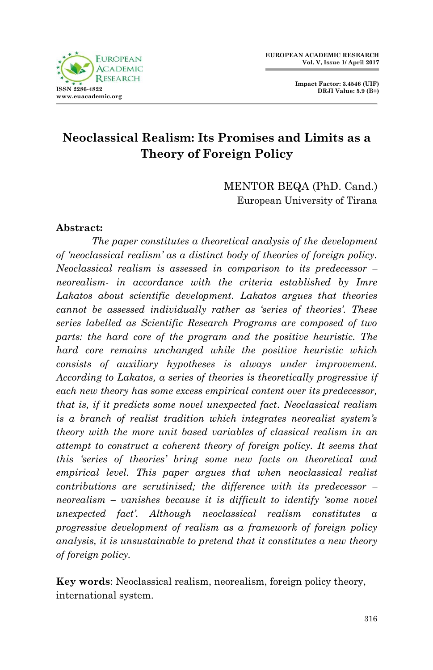

**Impact Factor: 3.4546 (UIF) DRJI Value: 5.9 (B+)**

# **Neoclassical Realism: Its Promises and Limits as a Theory of Foreign Policy**

MENTOR BEQA (PhD. Cand.) European University of Tirana

### **Abstract:**

*The paper constitutes a theoretical analysis of the development of 'neoclassical realism' as a distinct body of theories of foreign policy. Neoclassical realism is assessed in comparison to its predecessor – neorealism- in accordance with the criteria established by Imre Lakatos about scientific development. Lakatos argues that theories cannot be assessed individually rather as 'series of theories'. These series labelled as Scientific Research Programs are composed of two parts: the hard core of the program and the positive heuristic. The hard core remains unchanged while the positive heuristic which consists of auxiliary hypotheses is always under improvement. According to Lakatos, a series of theories is theoretically progressive if each new theory has some excess empirical content over its predecessor, that is, if it predicts some novel unexpected fact. Neoclassical realism is a branch of realist tradition which integrates neorealist system's theory with the more unit based variables of classical realism in an attempt to construct a coherent theory of foreign policy. It seems that this 'series of theories' bring some new facts on theoretical and empirical level. This paper argues that when neoclassical realist contributions are scrutinised; the difference with its predecessor – neorealism – vanishes because it is difficult to identify 'some novel unexpected fact'. Although neoclassical realism constitutes a progressive development of realism as a framework of foreign policy analysis, it is unsustainable to pretend that it constitutes a new theory of foreign policy.* 

**Key words**: Neoclassical realism, neorealism, foreign policy theory, international system.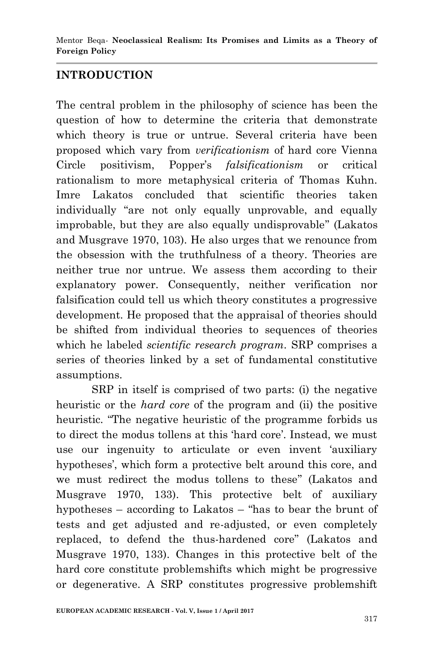### **INTRODUCTION**

The central problem in the philosophy of science has been the question of how to determine the criteria that demonstrate which theory is true or untrue. Several criteria have been proposed which vary from *verificationism* of hard core Vienna Circle positivism, Popper's *falsificationism* or critical rationalism to more metaphysical criteria of Thomas Kuhn. Imre Lakatos concluded that scientific theories taken individually "are not only equally unprovable, and equally improbable, but they are also equally undisprovable" (Lakatos and Musgrave 1970, 103). He also urges that we renounce from the obsession with the truthfulness of a theory. Theories are neither true nor untrue. We assess them according to their explanatory power. Consequently, neither verification nor falsification could tell us which theory constitutes a progressive development. He proposed that the appraisal of theories should be shifted from individual theories to sequences of theories which he labeled *scientific research program.* SRP comprises a series of theories linked by a set of fundamental constitutive assumptions.

SRP in itself is comprised of two parts: (i) the negative heuristic or the *hard core* of the program and (ii) the positive heuristic. "The negative heuristic of the programme forbids us to direct the modus tollens at this 'hard core'. Instead, we must use our ingenuity to articulate or even invent 'auxiliary hypotheses', which form a protective belt around this core, and we must redirect the modus tollens to these" (Lakatos and Musgrave 1970, 133). This protective belt of auxiliary hypotheses – according to Lakatos – "has to bear the brunt of tests and get adjusted and re-adjusted, or even completely replaced, to defend the thus-hardened core" (Lakatos and Musgrave 1970, 133). Changes in this protective belt of the hard core constitute problemshifts which might be progressive or degenerative. A SRP constitutes progressive problemshift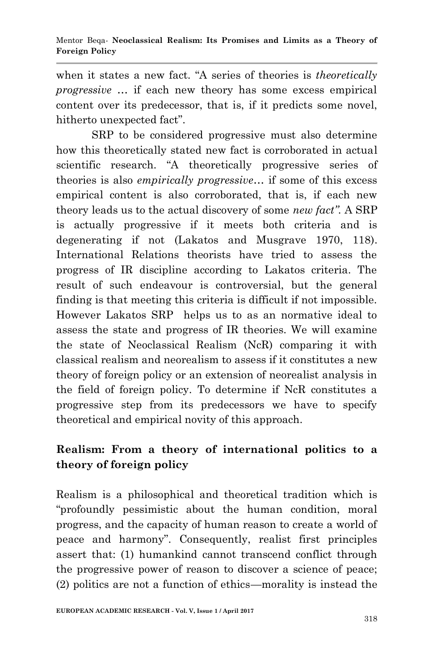when it states a new fact. "A series of theories is *theoretically progressive* ... if each new theory has some excess empirical content over its predecessor, that is, if it predicts some novel, hitherto unexpected fact".

SRP to be considered progressive must also determine how this theoretically stated new fact is corroborated in actual scientific research. "A theoretically progressive series of theories is also *empirically progressive…* if some of this excess empirical content is also corroborated, that is, if each new theory leads us to the actual discovery of some *new fact".* A SRP is actually progressive if it meets both criteria and is degenerating if not (Lakatos and Musgrave 1970, 118). International Relations theorists have tried to assess the progress of IR discipline according to Lakatos criteria. The result of such endeavour is controversial, but the general finding is that meeting this criteria is difficult if not impossible. However Lakatos SRP helps us to as an normative ideal to assess the state and progress of IR theories. We will examine the state of Neoclassical Realism (NcR) comparing it with classical realism and neorealism to assess if it constitutes a new theory of foreign policy or an extension of neorealist analysis in the field of foreign policy. To determine if NcR constitutes a progressive step from its predecessors we have to specify theoretical and empirical novity of this approach.

## **Realism: From a theory of international politics to a theory of foreign policy**

Realism is a philosophical and theoretical tradition which is ―profoundly pessimistic about the human condition, moral progress, and the capacity of human reason to create a world of peace and harmony". Consequently, realist first principles assert that: (1) humankind cannot transcend conflict through the progressive power of reason to discover a science of peace; (2) politics are not a function of ethics—morality is instead the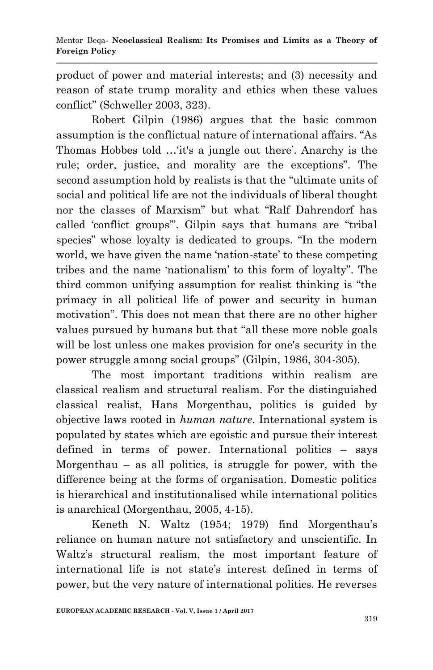product of power and material interests; and (3) necessity and reason of state trump morality and ethics when these values conflict" (Schweller 2003, 323).

Robert Gilpin (1986) argues that the basic common assumption is the conflictual nature of international affairs. "As Thomas Hobbes told …‗it's a jungle out there'. Anarchy is the rule; order, justice, and morality are the exceptions". The second assumption hold by realists is that the "ultimate units of social and political life are not the individuals of liberal thought nor the classes of Marxism" but what "Ralf Dahrendorf has called 'conflict groups'". Gilpin says that humans are "tribal" species" whose loyalty is dedicated to groups. "In the modern world, we have given the name 'nation-state' to these competing tribes and the name 'nationalism' to this form of loyalty". The third common unifying assumption for realist thinking is "the primacy in all political life of power and security in human motivation". This does not mean that there are no other higher values pursued by humans but that "all these more noble goals" will be lost unless one makes provision for one's security in the power struggle among social groups" (Gilpin, 1986, 304-305).

The most important traditions within realism are classical realism and structural realism. For the distinguished classical realist, Hans Morgenthau, politics is guided by objective laws rooted in *human nature*. International system is populated by states which are egoistic and pursue their interest defined in terms of power. International politics – says Morgenthau – as all politics, is struggle for power, with the difference being at the forms of organisation. Domestic politics is hierarchical and institutionalised while international politics is anarchical (Morgenthau, 2005, 4-15).

Keneth N. Waltz (1954; 1979) find Morgenthau's reliance on human nature not satisfactory and unscientific. In Waltz's structural realism, the most important feature of international life is not state's interest defined in terms of power, but the very nature of international politics. He reverses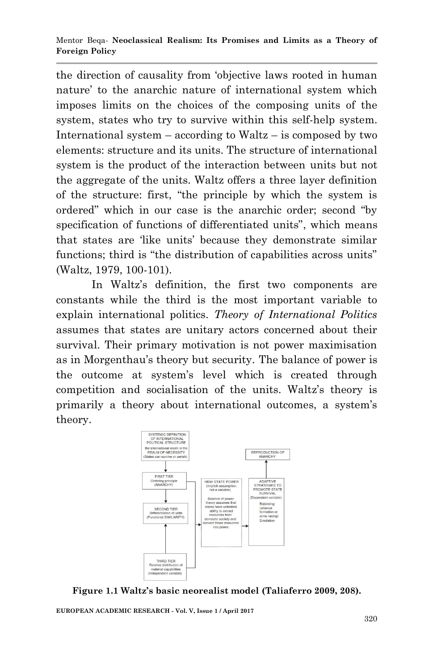the direction of causality from 'objective laws rooted in human nature' to the anarchic nature of international system which imposes limits on the choices of the composing units of the system, states who try to survive within this self-help system. International system – according to Waltz – is composed by two elements: structure and its units. The structure of international system is the product of the interaction between units but not the aggregate of the units. Waltz offers a three layer definition of the structure: first, "the principle by which the system is ordered" which in our case is the anarchic order; second "by specification of functions of differentiated units", which means that states are ‗like units' because they demonstrate similar functions; third is "the distribution of capabilities across units" (Waltz, 1979, 100-101).

In Waltz's definition, the first two components are constants while the third is the most important variable to explain international politics. *Theory of International Politics* assumes that states are unitary actors concerned about their survival. Their primary motivation is not power maximisation as in Morgenthau's theory but security. The balance of power is the outcome at system's level which is created through competition and socialisation of the units. Waltz's theory is primarily a theory about international outcomes, a system's theory.



**Figure 1.1 Waltz's basic neorealist model (Taliaferro 2009, 208).**

**EUROPEAN ACADEMIC RESEARCH - Vol. V, Issue 1 / April 2017**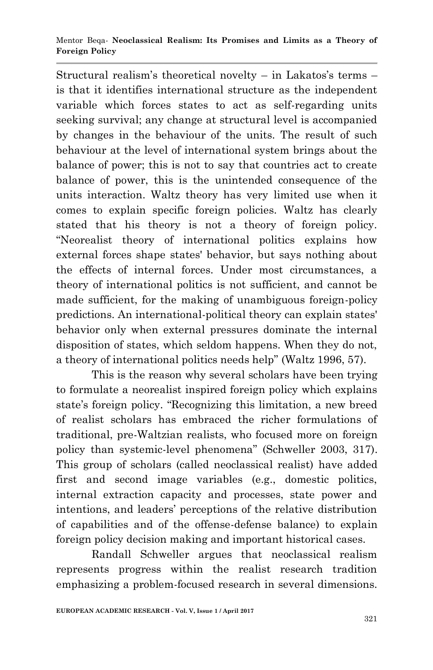#### Mentor Beqa*-* **Neoclassical Realism: Its Promises and Limits as a Theory of Foreign Policy**

Structural realism's theoretical novelty – in Lakatos's terms – is that it identifies international structure as the independent variable which forces states to act as self-regarding units seeking survival; any change at structural level is accompanied by changes in the behaviour of the units. The result of such behaviour at the level of international system brings about the balance of power; this is not to say that countries act to create balance of power, this is the unintended consequence of the units interaction. Waltz theory has very limited use when it comes to explain specific foreign policies. Waltz has clearly stated that his theory is not a theory of foreign policy. ―Neorealist theory of international politics explains how external forces shape states' behavior, but says nothing about the effects of internal forces. Under most circumstances, a theory of international politics is not sufficient, and cannot be made sufficient, for the making of unambiguous foreign-policy predictions. An international-political theory can explain states' behavior only when external pressures dominate the internal disposition of states, which seldom happens. When they do not, a theory of international politics needs help" (Waltz 1996, 57).

This is the reason why several scholars have been trying to formulate a neorealist inspired foreign policy which explains state's foreign policy. "Recognizing this limitation, a new breed of realist scholars has embraced the richer formulations of traditional, pre-Waltzian realists, who focused more on foreign policy than systemic-level phenomena" (Schweller 2003, 317). This group of scholars (called neoclassical realist) have added first and second image variables (e.g., domestic politics, internal extraction capacity and processes, state power and intentions, and leaders' perceptions of the relative distribution of capabilities and of the offense-defense balance) to explain foreign policy decision making and important historical cases.

Randall Schweller argues that neoclassical realism represents progress within the realist research tradition emphasizing a problem-focused research in several dimensions.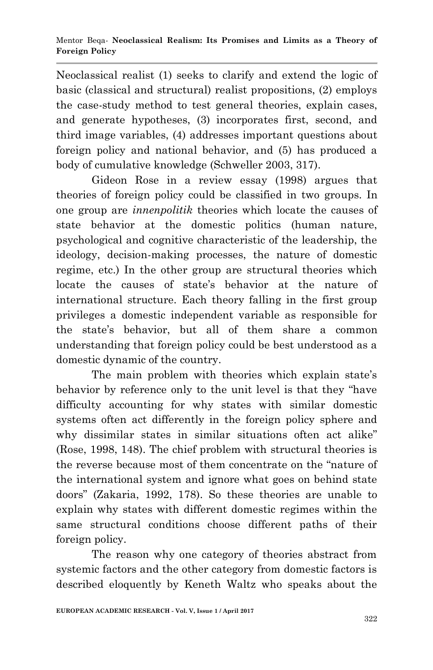Neoclassical realist (1) seeks to clarify and extend the logic of basic (classical and structural) realist propositions, (2) employs the case-study method to test general theories, explain cases, and generate hypotheses, (3) incorporates first, second, and third image variables, (4) addresses important questions about foreign policy and national behavior, and (5) has produced a body of cumulative knowledge (Schweller 2003, 317).

Gideon Rose in a review essay (1998) argues that theories of foreign policy could be classified in two groups. In one group are *innenpolitik* theories which locate the causes of state behavior at the domestic politics (human nature, psychological and cognitive characteristic of the leadership, the ideology, decision-making processes, the nature of domestic regime, etc.) In the other group are structural theories which locate the causes of state's behavior at the nature of international structure. Each theory falling in the first group privileges a domestic independent variable as responsible for the state's behavior, but all of them share a common understanding that foreign policy could be best understood as a domestic dynamic of the country.

The main problem with theories which explain state's behavior by reference only to the unit level is that they "have difficulty accounting for why states with similar domestic systems often act differently in the foreign policy sphere and why dissimilar states in similar situations often act alike" (Rose, 1998, 148). The chief problem with structural theories is the reverse because most of them concentrate on the "nature of the international system and ignore what goes on behind state doors‖ (Zakaria, 1992, 178). So these theories are unable to explain why states with different domestic regimes within the same structural conditions choose different paths of their foreign policy.

The reason why one category of theories abstract from systemic factors and the other category from domestic factors is described eloquently by Keneth Waltz who speaks about the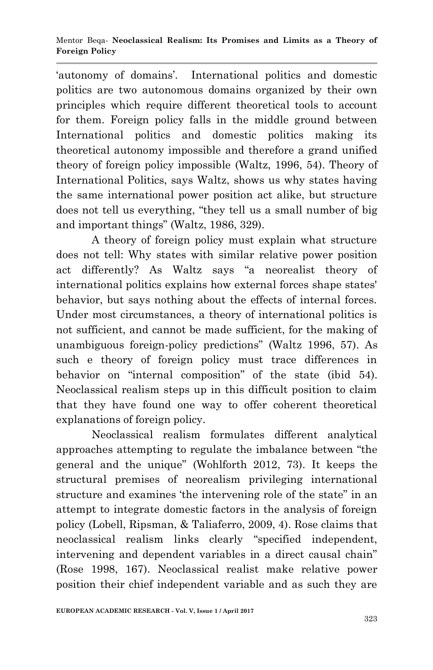‗autonomy of domains'. International politics and domestic politics are two autonomous domains organized by their own principles which require different theoretical tools to account for them. Foreign policy falls in the middle ground between International politics and domestic politics making its theoretical autonomy impossible and therefore a grand unified theory of foreign policy impossible (Waltz, 1996, 54). Theory of International Politics, says Waltz, shows us why states having the same international power position act alike, but structure does not tell us everything, "they tell us a small number of big and important things" (Waltz, 1986, 329).

A theory of foreign policy must explain what structure does not tell: Why states with similar relative power position act differently? As Waltz says "a neorealist theory of international politics explains how external forces shape states' behavior, but says nothing about the effects of internal forces. Under most circumstances, a theory of international politics is not sufficient, and cannot be made sufficient, for the making of unambiguous foreign-policy predictions" (Waltz 1996, 57). As such e theory of foreign policy must trace differences in behavior on "internal composition" of the state (ibid 54). Neoclassical realism steps up in this difficult position to claim that they have found one way to offer coherent theoretical explanations of foreign policy.

Neoclassical realism formulates different analytical approaches attempting to regulate the imbalance between "the general and the unique" (Wohlforth 2012, 73). It keeps the structural premises of neorealism privileging international structure and examines 'the intervening role of the state" in an attempt to integrate domestic factors in the analysis of foreign policy (Lobell, Ripsman, & Taliaferro, 2009, 4). Rose claims that neoclassical realism links clearly "specified independent, intervening and dependent variables in a direct causal chain" (Rose 1998, 167). Neoclassical realist make relative power position their chief independent variable and as such they are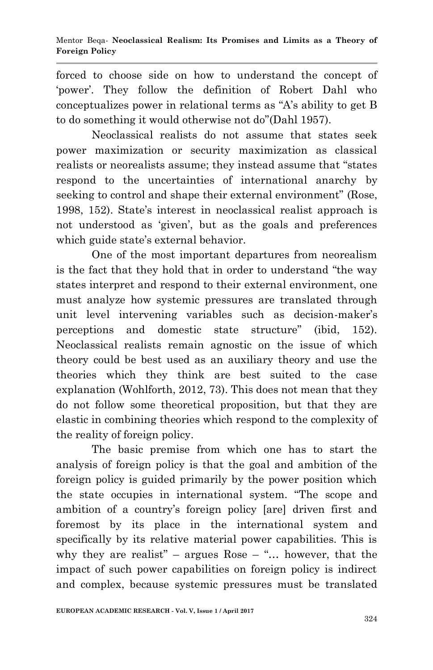forced to choose side on how to understand the concept of 'power'. They follow the definition of Robert Dahl who conceptualizes power in relational terms as  $A$ 's ability to get B to do something it would otherwise not do"(Dahl 1957).

Neoclassical realists do not assume that states seek power maximization or security maximization as classical realists or neorealists assume; they instead assume that "states" respond to the uncertainties of international anarchy by seeking to control and shape their external environment" (Rose, 1998, 152). State's interest in neoclassical realist approach is not understood as 'given', but as the goals and preferences which guide state's external behavior.

One of the most important departures from neorealism is the fact that they hold that in order to understand "the way" states interpret and respond to their external environment, one must analyze how systemic pressures are translated through unit level intervening variables such as decision-maker's perceptions and domestic state structure" (ibid, 152). Neoclassical realists remain agnostic on the issue of which theory could be best used as an auxiliary theory and use the theories which they think are best suited to the case explanation (Wohlforth, 2012, 73). This does not mean that they do not follow some theoretical proposition, but that they are elastic in combining theories which respond to the complexity of the reality of foreign policy.

The basic premise from which one has to start the analysis of foreign policy is that the goal and ambition of the foreign policy is guided primarily by the power position which the state occupies in international system. "The scope and ambition of a country's foreign policy [are] driven first and foremost by its place in the international system and specifically by its relative material power capabilities. This is why they are realist" – argues Rose – "... however, that the impact of such power capabilities on foreign policy is indirect and complex, because systemic pressures must be translated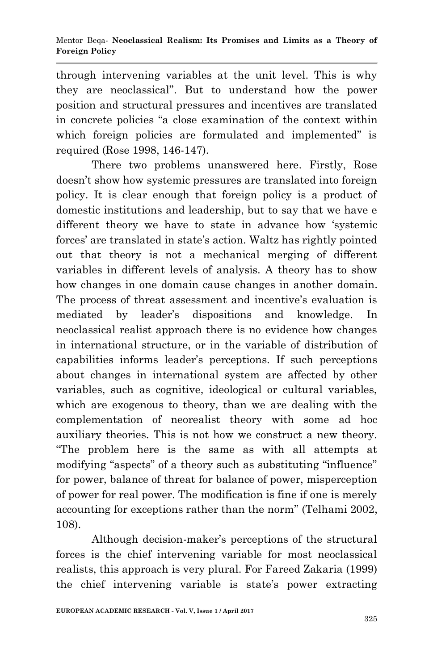through intervening variables at the unit level. This is why they are neoclassical". But to understand how the power position and structural pressures and incentives are translated in concrete policies "a close examination of the context within which foreign policies are formulated and implemented" is required (Rose 1998, 146-147).

There two problems unanswered here. Firstly, Rose doesn't show how systemic pressures are translated into foreign policy. It is clear enough that foreign policy is a product of domestic institutions and leadership, but to say that we have e different theory we have to state in advance how 'systemic forces' are translated in state's action. Waltz has rightly pointed out that theory is not a mechanical merging of different variables in different levels of analysis. A theory has to show how changes in one domain cause changes in another domain. The process of threat assessment and incentive's evaluation is mediated by leader's dispositions and knowledge. In neoclassical realist approach there is no evidence how changes in international structure, or in the variable of distribution of capabilities informs leader's perceptions. If such perceptions about changes in international system are affected by other variables, such as cognitive, ideological or cultural variables, which are exogenous to theory, than we are dealing with the complementation of neorealist theory with some ad hoc auxiliary theories. This is not how we construct a new theory. ―The problem here is the same as with all attempts at modifying "aspects" of a theory such as substituting "influence" for power, balance of threat for balance of power, misperception of power for real power. The modification is fine if one is merely accounting for exceptions rather than the norm" (Telhami 2002, 108).

Although decision-maker's perceptions of the structural forces is the chief intervening variable for most neoclassical realists, this approach is very plural. For Fareed Zakaria (1999) the chief intervening variable is state's power extracting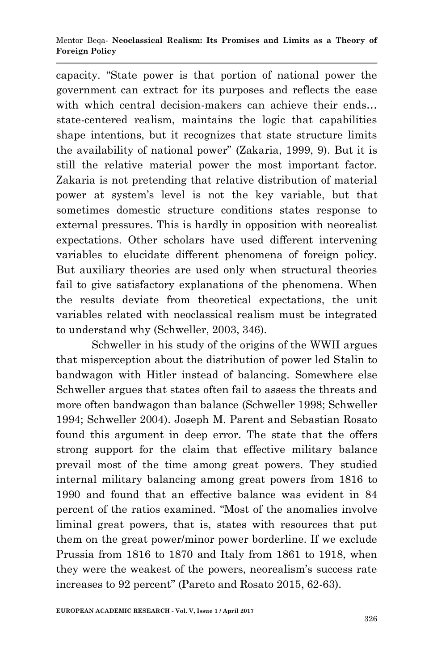#### Mentor Beqa*-* **Neoclassical Realism: Its Promises and Limits as a Theory of Foreign Policy**

capacity. ―State power is that portion of national power the government can extract for its purposes and reflects the ease with which central decision-makers can achieve their ends... state-centered realism, maintains the logic that capabilities shape intentions, but it recognizes that state structure limits the availability of national power" (Zakaria, 1999, 9). But it is still the relative material power the most important factor. Zakaria is not pretending that relative distribution of material power at system's level is not the key variable, but that sometimes domestic structure conditions states response to external pressures. This is hardly in opposition with neorealist expectations. Other scholars have used different intervening variables to elucidate different phenomena of foreign policy. But auxiliary theories are used only when structural theories fail to give satisfactory explanations of the phenomena. When the results deviate from theoretical expectations, the unit variables related with neoclassical realism must be integrated to understand why (Schweller, 2003, 346).

Schweller in his study of the origins of the WWII argues that misperception about the distribution of power led Stalin to bandwagon with Hitler instead of balancing. Somewhere else Schweller argues that states often fail to assess the threats and more often bandwagon than balance (Schweller 1998; Schweller 1994; Schweller 2004). Joseph M. Parent and Sebastian Rosato found this argument in deep error. The state that the offers strong support for the claim that effective military balance prevail most of the time among great powers. They studied internal military balancing among great powers from 1816 to 1990 and found that an effective balance was evident in 84 percent of the ratios examined. "Most of the anomalies involve liminal great powers, that is, states with resources that put them on the great power/minor power borderline. If we exclude Prussia from 1816 to 1870 and Italy from 1861 to 1918, when they were the weakest of the powers, neorealism's success rate increases to 92 percent" (Pareto and Rosato 2015, 62-63).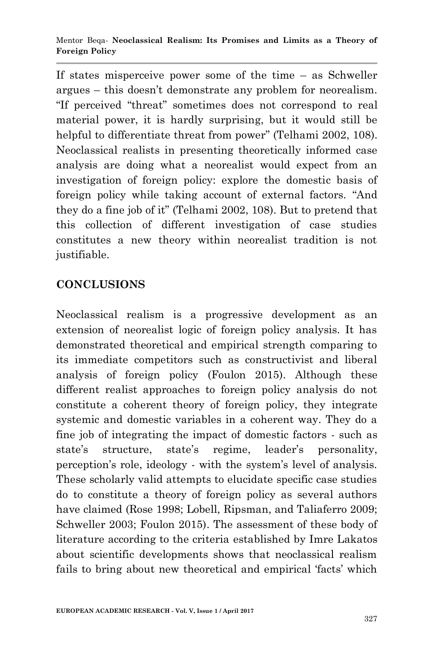If states misperceive power some of the time – as Schweller argues – this doesn't demonstrate any problem for neorealism. "If perceived "threat" sometimes does not correspond to real material power, it is hardly surprising, but it would still be helpful to differentiate threat from power" (Telhami 2002, 108). Neoclassical realists in presenting theoretically informed case analysis are doing what a neorealist would expect from an investigation of foreign policy: explore the domestic basis of foreign policy while taking account of external factors. "And they do a fine job of it" (Telhami 2002, 108). But to pretend that this collection of different investigation of case studies constitutes a new theory within neorealist tradition is not justifiable.

## **CONCLUSIONS**

Neoclassical realism is a progressive development as an extension of neorealist logic of foreign policy analysis. It has demonstrated theoretical and empirical strength comparing to its immediate competitors such as constructivist and liberal analysis of foreign policy (Foulon 2015). Although these different realist approaches to foreign policy analysis do not constitute a coherent theory of foreign policy, they integrate systemic and domestic variables in a coherent way. They do a fine job of integrating the impact of domestic factors - such as state's structure, state's regime, leader's personality, perception's role, ideology - with the system's level of analysis. These scholarly valid attempts to elucidate specific case studies do to constitute a theory of foreign policy as several authors have claimed (Rose 1998; Lobell, Ripsman, and Taliaferro 2009; Schweller 2003; Foulon 2015). The assessment of these body of literature according to the criteria established by Imre Lakatos about scientific developments shows that neoclassical realism fails to bring about new theoretical and empirical 'facts' which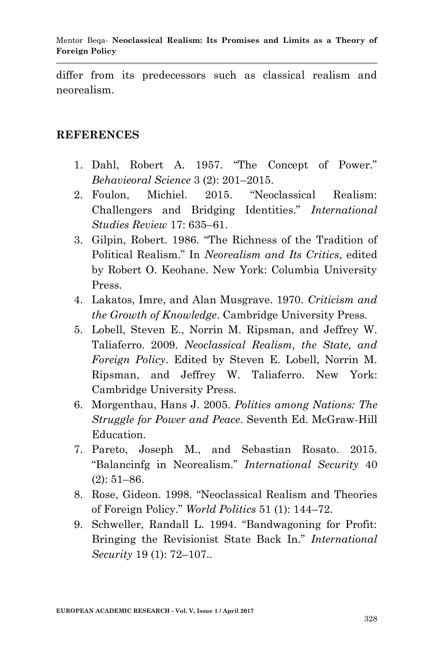differ from its predecessors such as classical realism and neorealism.

### **REFERENCES**

- 1. Dahl, Robert A. 1957. "The Concept of Power." *Behavieoral Science* 3 (2): 201–2015.
- 2. Foulon, Michiel. 2015. 
"Neoclassical Realism: Challengers and Bridging Identities.‖ *International Studies Review* 17: 635–61.
- 3. Gilpin, Robert. 1986. "The Richness of the Tradition of Political Realism.‖ In *Neorealism and Its Critics*, edited by Robert O. Keohane. New York: Columbia University Press.
- 4. Lakatos, Imre, and Alan Musgrave. 1970. *Criticism and the Growth of Knowledge*. Cambridge University Press.
- 5. Lobell, Steven E., Norrin M. Ripsman, and Jeffrey W. Taliaferro. 2009. *Neoclassical Realism, the State, and Foreign Policy*. Edited by Steven E. Lobell, Norrin M. Ripsman, and Jeffrey W. Taliaferro. New York: Cambridge University Press.
- 6. Morgenthau, Hans J. 2005. *Politics among Nations: The Struggle for Power and Peace*. Seventh Ed. McGraw-Hill Education.
- 7. Pareto, Joseph M., and Sebastian Rosato. 2015. ―Balancinfg in Neorealism.‖ *International Security* 40 (2): 51–86.
- 8. Rose, Gideon. 1998. "Neoclassical Realism and Theories of Foreign Policy.‖ *World Politics* 51 (1): 144–72.
- 9. Schweller, Randall L. 1994. "Bandwagoning for Profit: Bringing the Revisionist State Back In." *International Security* 19 (1): 72–107..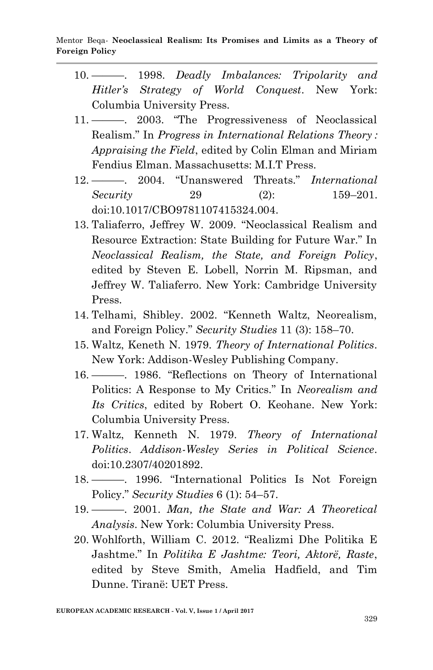- 10. ———. 1998. *Deadly Imbalances: Tripolarity and Hitler's Strategy of World Conquest*. New York: Columbia University Press.
- 11. ———. 2003. "The Progressiveness of Neoclassical Realism.‖ In *Progress in International Relations Theory : Appraising the Field*, edited by Colin Elman and Miriam Fendius Elman. Massachusetts: M.I.T Press.
- 12. ———. 2004. ―Unanswered Threats.‖ *International Security* 29 (2): 159–201. doi:10.1017/CBO9781107415324.004.
- 13. Taliaferro, Jeffrey W. 2009. "Neoclassical Realism and Resource Extraction: State Building for Future War." In *Neoclassical Realism, the State, and Foreign Policy*, edited by Steven E. Lobell, Norrin M. Ripsman, and Jeffrey W. Taliaferro. New York: Cambridge University Press.
- 14. Telhami, Shibley. 2002. "Kenneth Waltz, Neorealism, and Foreign Policy.‖ *Security Studies* 11 (3): 158–70.
- 15. Waltz, Keneth N. 1979. *Theory of International Politics*. New York: Addison-Wesley Publishing Company.
- 16. ———. 1986. "Reflections on Theory of International Politics: A Response to My Critics." In *Neorealism and Its Critics*, edited by Robert O. Keohane. New York: Columbia University Press.
- 17. Waltz, Kenneth N. 1979. *Theory of International Politics*. *Addison-Wesley Series in Political Science*. doi:10.2307/40201892.
- 18. ——. 1996. "International Politics Is Not Foreign Policy.‖ *Security Studies* 6 (1): 54–57.
- 19. ———. 2001. *Man, the State and War: A Theoretical Analysis*. New York: Columbia University Press.
- 20. Wohlforth, William C. 2012. "Realizmi Dhe Politika E Jashtme.‖ In *Politika E Jashtme: Teori, Aktorë, Raste*, edited by Steve Smith, Amelia Hadfield, and Tim Dunne. Tiranë: UET Press.